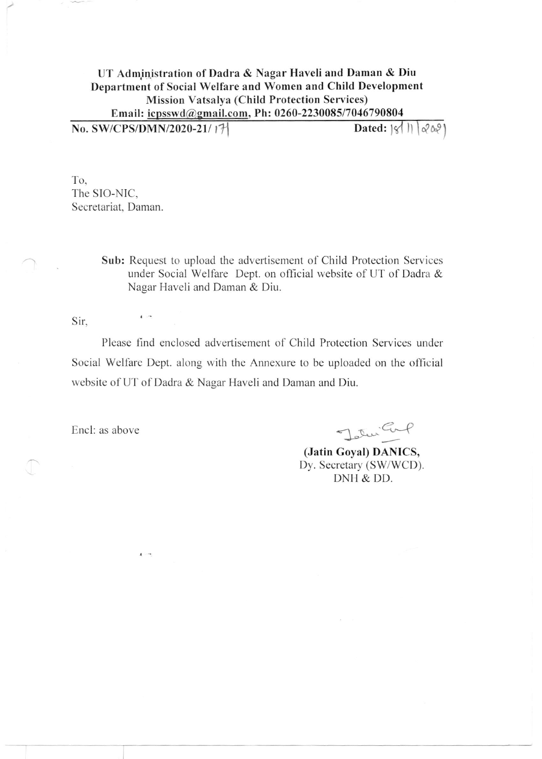## UT Administration of Dadra & Nagar Haveli and Daman & Diu Department of Social Welfare and Women and Child Development **Mission Vatsalya (Child Protection Services)** Email: icpsswd@gmail.com, Ph: 0260-2230085/7046790804

No. SW/CPS/DMN/2020-21/17 Dated:  $|\mathcal{C}|$   $|\mathcal{C}(\mathbb{Q})|$ 

To. The SIO-NIC, Secretariat, Daman.

 $\mathbf{I}$ 

 $\mathbf{A}$ 

Sub: Request to upload the advertisement of Child Protection Services under Social Welfare Dept. on official website of UT of Dadra & Nagar Haveli and Daman & Diu.

Sir.

Please find enclosed advertisement of Child Protection Services under Social Welfare Dept. along with the Annexure to be uploaded on the official website of UT of Dadra & Nagar Haveli and Daman and Diu.

Encl: as above

Jotur Carp

(Jatin Goyal) DANICS, Dy. Secretary (SW/WCD). DNH & DD.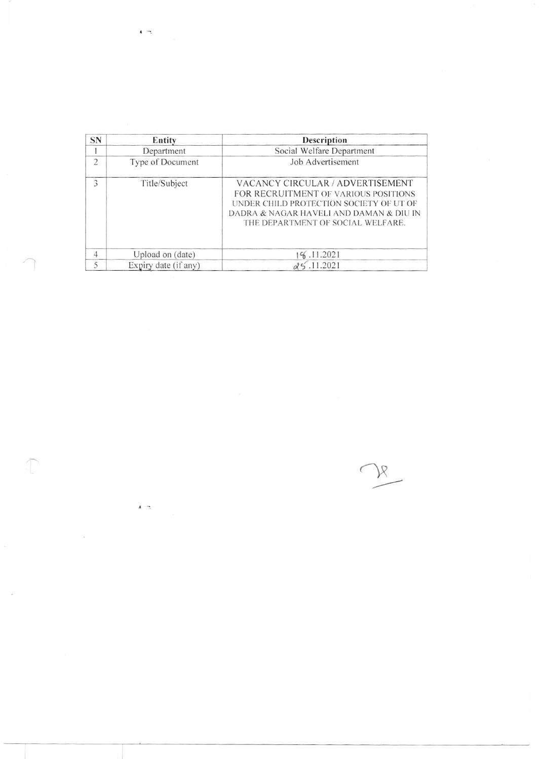| <b>SN</b>      | Entity               | Description                                                                                                                                                                                         |  |
|----------------|----------------------|-----------------------------------------------------------------------------------------------------------------------------------------------------------------------------------------------------|--|
|                | Department           | Social Welfare Department                                                                                                                                                                           |  |
| $\overline{2}$ | Type of Document     | Job Advertisement                                                                                                                                                                                   |  |
| 3              | Title/Subject        | VACANCY CIRCULAR / ADVERTISEMENT<br>FOR RECRUITMENT OF VARIOUS POSITIONS<br>UNDER CHILD PROTECTION SOCIETY OF UT OF<br>DADRA & NAGAR HAVELI AND DAMAN & DIU IN<br>THE DEPARTMENT OF SOCIAL WELFARE. |  |
| 4              | Upload on (date)     | 196.11.2021                                                                                                                                                                                         |  |
| 5              | Expiry date (if any) | 25.11.2021                                                                                                                                                                                          |  |

 $\begin{picture}(20,20) \put(0,0){\line(1,0){10}} \put(15,0){\line(1,0){10}} \put(15,0){\line(1,0){10}} \put(15,0){\line(1,0){10}} \put(15,0){\line(1,0){10}} \put(15,0){\line(1,0){10}} \put(15,0){\line(1,0){10}} \put(15,0){\line(1,0){10}} \put(15,0){\line(1,0){10}} \put(15,0){\line(1,0){10}} \put(15,0){\line(1,0){10}} \put(15,0){\line(1$ 

 $\sqrt{2}$ 

 $\frac{1}{\left\langle \mathbf{r}_{\mathrm{eff}}^{\mathrm{H}}\right\rangle }$ 

 $\lambda$